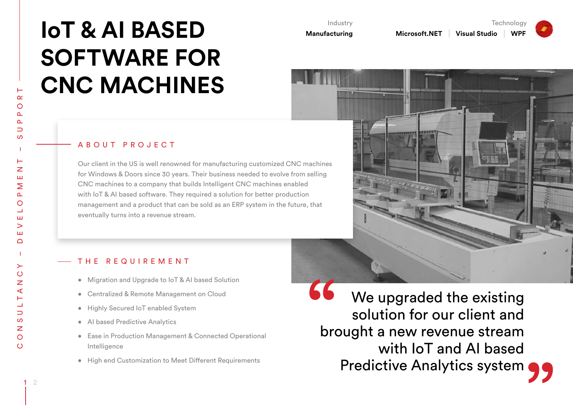# **IoT & AI BASED SOFTWARE FOR CNC MACHINES**

Industry

**Manufacturing** 



## A B O U T P R O J E C T

Our client in the US is well renowned for manufacturing customized CNC machines for Windows & Doors since 30 years. Their business needed to evolve from selling CNC machines to a company that builds Intelligent CNC machines enabled with IoT & AI based software. They required a solution for better production management and a product that can be sold as an ERP system in the future, that eventually turns into a revenue stream.



## THE REQUIREMENT

- Migration and Upgrade to IoT & AI based Solution
- • Centralized & Remote Management on Cloud
- • Highly Secured IoT enabled System
- Al based Predictive Analytics
- Ease in Production Management & Connected Operational Intelligence
- High end Customization to Meet Different Requirements

 We upgraded the existing solution for our client and brought a new revenue stream with IoT and AI based Predictive Analytics system